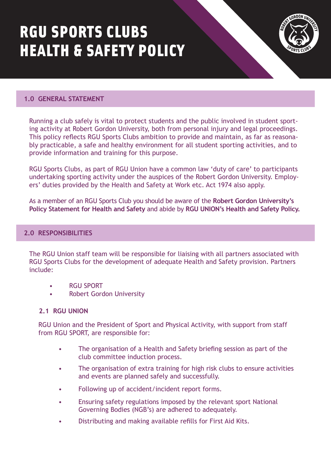# RGU SPORTS CLUBS HEALTH & SAFETY POLICY



## **1.0 GENERAL STATEMENT**

Running a club safely is vital to protect students and the public involved in student sporting activity at Robert Gordon University, both from personal injury and legal proceedings. This policy reflects RGU Sports Clubs ambition to provide and maintain, as far as reasonably practicable, a safe and healthy environment for all student sporting activities, and to provide information and training for this purpose.

RGU Sports Clubs, as part of RGU Union have a common law 'duty of care' to participants undertaking sporting activity under the auspices of the Robert Gordon University. Employers' duties provided by the Health and Safety at Work etc. Act 1974 also apply.

[As a member of an RGU Sports Club you should be aware of the](https://www3.rgu.ac.uk/about/health-and-safety/health-and-safety-index/health-and-safety) **Robert Gordon University's Policy Statement for Health and Safety** and abide by **[RGU UNION's Health and Safety Policy.](https://www.rguunion.co.uk/pageassets/about/policy/healthandsafety/Health-and-Safety-Policy-Revised-April-2016.pdf)**

## **2.0 RESPONSIBILITIES**

The RGU Union staff team will be responsible for liaising with all partners associated with RGU Sports Clubs for the development of adequate Health and Safety provision. Partners include:

- RGU SPORT
- Robert Gordon University

## **2.1 RGU UNION**

RGU Union and the President of Sport and Physical Activity, with support from staff from RGU SPORT, are responsible for:

- The organisation of a Health and Safety briefing session as part of the club committee induction process.
- The organisation of extra training for high risk clubs to ensure activities and events are planned safely and successfully.
- Following up of accident/incident report forms.
- Ensuring safety regulations imposed by the relevant sport National Governing Bodies (NGB's) are adhered to adequately.
- Distributing and making available refills for First Aid Kits.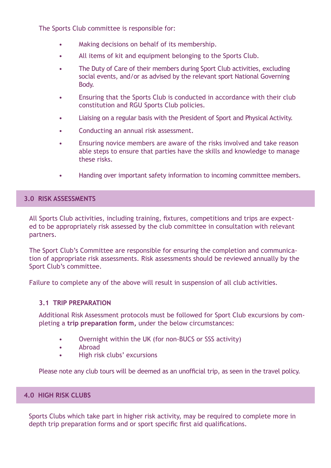The Sports Club committee is responsible for:

- Making decisions on behalf of its membership.
- All items of kit and equipment belonging to the Sports Club.
- The Duty of Care of their members during Sport Club activities, excluding social events, and/or as advised by the relevant sport National Governing Body.
- Ensuring that the Sports Club is conducted in accordance with their club constitution and RGU Sports Club policies.
- Liaising on a regular basis with the President of Sport and Physical Activity.
- Conducting an annual risk assessment.
- Ensuring novice members are aware of the risks involved and take reason able steps to ensure that parties have the skills and knowledge to manage these risks.
- Handing over important safety information to incoming committee members.

## **3.0 RISK ASSESSMENTS**

All Sports Club activities, including training, fixtures, competitions and trips are expected to be appropriately risk assessed by the club committee in consultation with relevant partners.

The Sport Club's Committee are responsible for ensuring the completion and communication of appropriate risk assessments. Risk assessments should be reviewed annually by the Sport Club's committee.

Failure to complete any of the above will result in suspension of all club activities.

## **3.1 TRIP PREPARATION**

Additional Risk Assessment protocols must be followed for Sport Club excursions by completing a **[trip preparation form,](https://forms.office.com/Pages/ResponsePage.aspx?id=nKagUU8OPUu2QhLgExmGNdHnJMkQ4ZpAqgWYU9HtxWpUNk1OR1lNR0tRUjVJMkw4TkdTN0ozRE5NNS4u&wdLOR=c59D41D21-619E-DB4B-A328-8D4338CCCE94)** under the below circumstances:

- Overnight within the UK (for non-BUCS or SSS activity)
- Abroad
- High risk clubs' excursions

Please note any club tours will be deemed as an unofficial trip, as seen in the travel policy.

## **4.0 HIGH RISK CLUBS**

Sports Clubs which take part in higher risk activity, may be required to complete more in depth trip preparation forms and or sport specific first aid qualifications.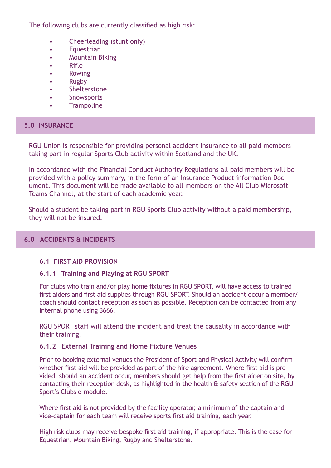The following clubs are currently classified as high risk:

- Cheerleading (stunt only)
- Equestrian
- Mountain Biking
- Rifle
- Rowing
- Rugby
- Shelterstone
- Snowsports
- **Trampoline**

# **5.0 INSURANCE**

RGU Union is responsible for providing personal accident insurance to all paid members taking part in regular Sports Club activity within Scotland and the UK.

In accordance with the Financial Conduct Authority Regulations all paid members will be provided with a policy summary, in the form of an Insurance Product information Document. This document will be made available to all members on the All Club Microsoft Teams Channel, at the start of each academic year.

Should a student be taking part in RGU Sports Club activity without a paid membership, they will not be insured.

# **6.0 ACCIDENTS & INCIDENTS**

## **6.1 FIRST AID PROVISION**

## **6.1.1 Training and Playing at RGU SPORT**

For clubs who train and/or play home fixtures in RGU SPORT, will have access to trained first aiders and first aid supplies through RGU SPORT. Should an accident occur a member/ coach should contact reception as soon as possible. Reception can be contacted from any internal phone using 3666.

RGU SPORT staff will attend the incident and treat the causality in accordance with their training.

## **6.1.2 External Training and Home Fixture Venues**

Prior to booking external venues the President of Sport and Physical Activity will confirm whether first aid will be provided as part of the hire agreement. Where first aid is provided, should an accident occur, members should get help from the first aider on site, by contacting their reception desk, as highlighted in the health & safety section of the RGU Sport's Clubs e-module.

Where first aid is not provided by the facility operator, a minimum of the captain and vice-captain for each team will receive sports first aid training, each year.

High risk clubs may receive bespoke first aid training, if appropriate. This is the case for Equestrian, Mountain Biking, Rugby and Shelterstone.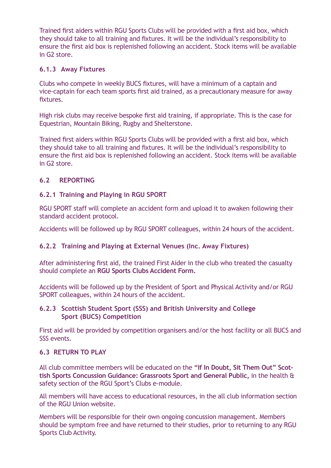Trained first aiders within RGU Sports Clubs will be provided with a first aid box, which they should take to all training and fixtures. It will be the individual's responsibility to ensure the first aid box is replenished following an accident. Stock items will be available in G2 store.

# **6.1.3 Away Fixtures**

Clubs who compete in weekly BUCS fixtures, will have a minimum of a captain and vice-captain for each team sports first aid trained, as a precautionary measure for away fixtures.

High risk clubs may receive bespoke first aid training, if appropriate. This is the case for Equestrian, Mountain Biking, Rugby and Shelterstone.

Trained first aiders within RGU Sports Clubs will be provided with a first aid box, which they should take to all training and fixtures. It will be the individual's responsibility to ensure the first aid box is replenished following an accident. Stock items will be available in G2 store.

# **6.2 REPORTING**

# **6.2.1 Training and Playing in RGU SPORT**

RGU SPORT staff will complete an accident form and upload it to awaken following their standard accident protocol.

Accidents will be followed up by RGU SPORT colleagues, within 24 hours of the accident.

# **6.2.2 Training and Playing at External Venues (Inc. Away Fixtures)**

After administering first aid, the trained First Aider in the club who treated the casualty should complete an **[RGU Sports Clubs Accident Form](https://forms.office.com/Pages/ResponsePage.aspx?id=nKagUU8OPUu2QhLgExmGNdHnJMkQ4ZpAqgWYU9HtxWpUQUlQS1dHNkRPRVNLT1g5QUtMOUJBV0g0Ti4u&wdLOR=c83E67642-10C7-D343-921E-38C4E03C5A87).**

Accidents will be followed up by the President of Sport and Physical Activity and/or RGU SPORT colleagues, within 24 hours of the accident.

# **6.2.3 Scottish Student Sport (SSS) and British University and College Sport (BUCS) Competition**

First aid will be provided by competition organisers and/or the host facility or all BUCS and SSS events.

# **6.3 RETURN TO PLAY**

All club committee members will be educated on the **"If In Doubt, Sit Them Out" Scot[tish Sports Concussion Guidance: Grassroots Sport and General Public,](https://www.scottishfa.co.uk/media/4624/scottish-concussion-guidelines-2018.pdf)** in the health & safety section of the RGU Sport's Clubs e-module.

All members will have access to educational resources, in the all club information section of the RGU Union website.

Members will be responsible for their own ongoing concussion management. Members should be symptom free and have returned to their studies, prior to returning to any RGU Sports Club Activity.